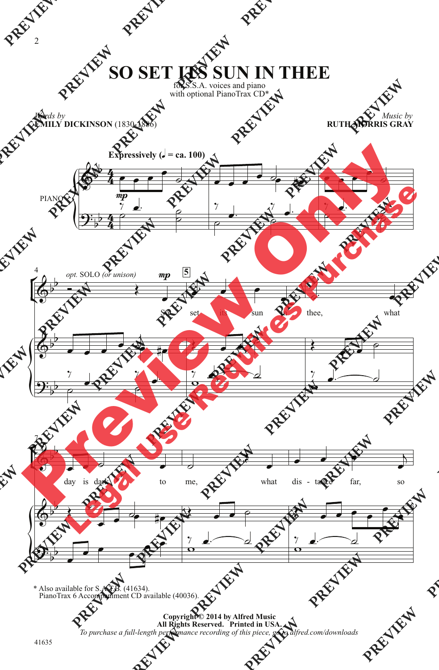## **SO SET ITS SUN IN THEE**

for S.S.A. voices and piano with optional PianoTrax CD\*



*Music by* **RUTH MORRIS GRAY**



\* Also available for S.A.T.B. (41634). PianoTrax 6 Accompaniment CD available (40036).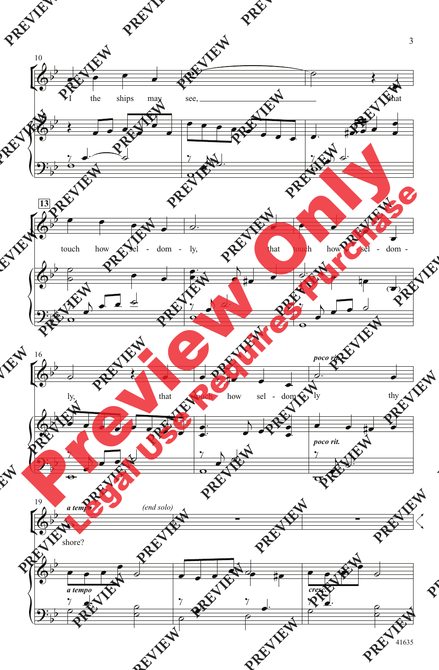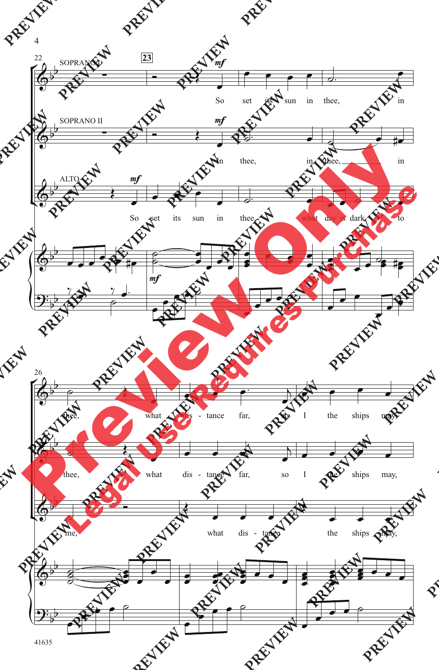

41635

4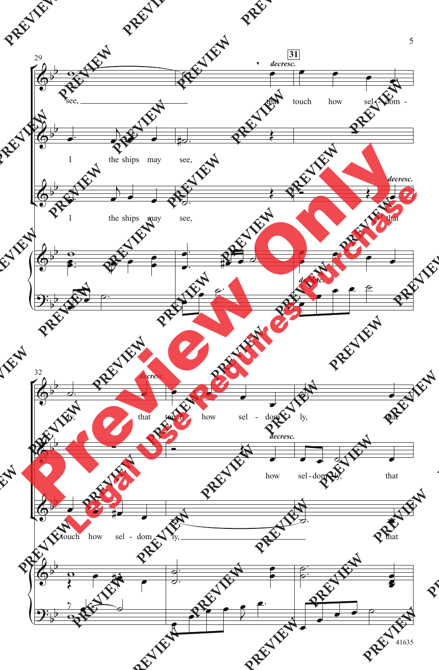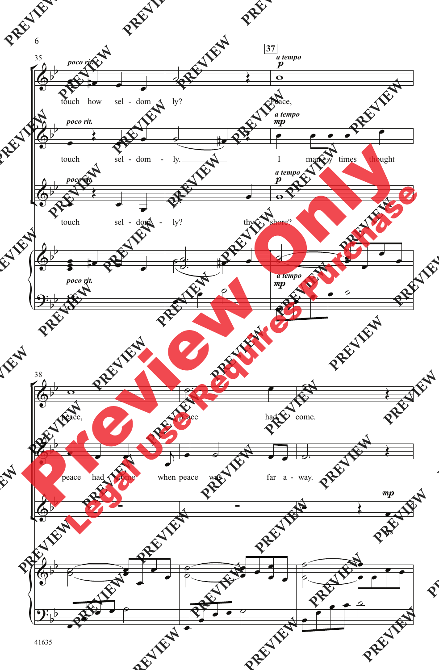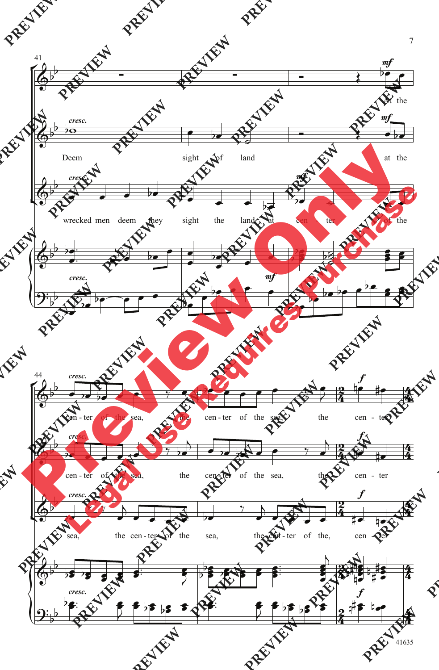![](_page_5_Figure_0.jpeg)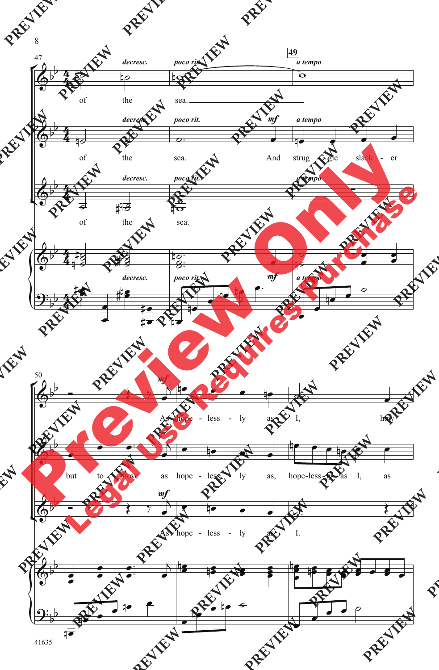![](_page_6_Figure_0.jpeg)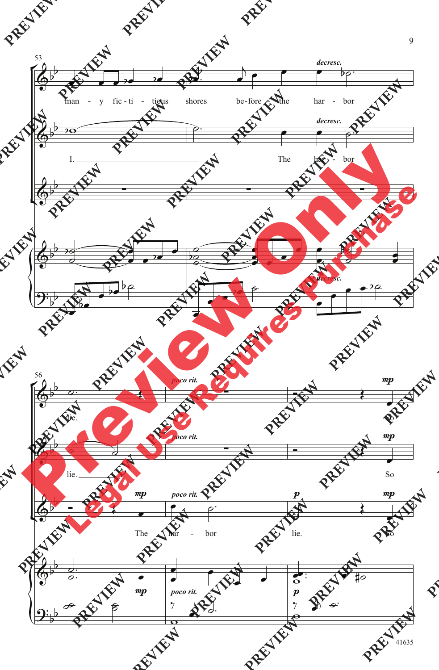![](_page_7_Figure_0.jpeg)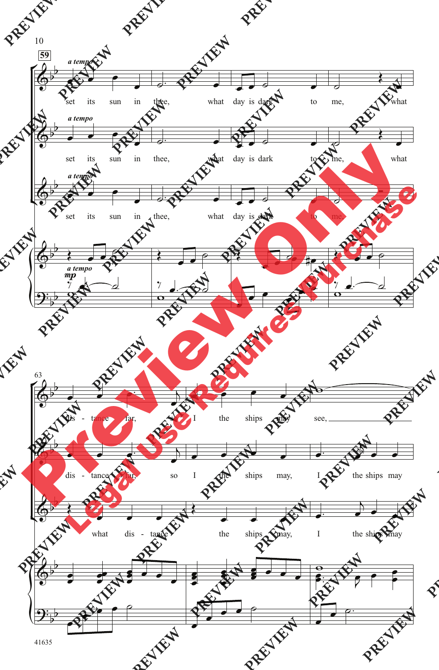![](_page_8_Figure_0.jpeg)